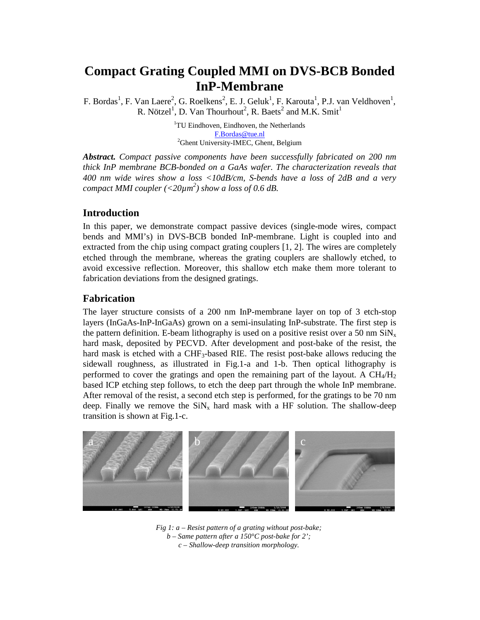# **Compact Grating Coupled MMI on DVS-BCB Bonded InP-Membrane**

F. Bordas<sup>1</sup>, F. Van Laere<sup>2</sup>, G. Roelkens<sup>2</sup>, E. J. Geluk<sup>1</sup>, F. Karouta<sup>1</sup>, P.J. van Veldhoven<sup>1</sup>, R. Nötzel<sup>1</sup>, D. Van Thourhout<sup>2</sup>, R. Baets<sup>2</sup> and M.K. Smit<sup>1</sup>

> <sup>1</sup>TU Eindhoven, Eindhoven, the Netherlands F.Bordas@tue.nl <sup>2</sup>Ghent University-IMEC, Ghent, Belgium

*Abstract. Compact passive components have been successfully fabricated on 200 nm thick InP membrane BCB-bonded on a GaAs wafer. The characterization reveals that 400 nm wide wires show a loss <10dB/cm, S-bends have a loss of 2dB and a very compact MMI coupler (<20µm<sup>2</sup> ) show a loss of 0.6 dB.* 

# **Introduction**

In this paper, we demonstrate compact passive devices (single-mode wires, compact bends and MMI's) in DVS-BCB bonded InP-membrane. Light is coupled into and extracted from the chip using compact grating couplers [1, 2]. The wires are completely etched through the membrane, whereas the grating couplers are shallowly etched, to avoid excessive reflection. Moreover, this shallow etch make them more tolerant to fabrication deviations from the designed gratings.

# **Fabrication**

The layer structure consists of a 200 nm InP-membrane layer on top of 3 etch-stop layers (InGaAs-InP-InGaAs) grown on a semi-insulating InP-substrate. The first step is the pattern definition. E-beam lithography is used on a positive resist over a 50 nm  $\text{SiN}_x$ hard mask, deposited by PECVD. After development and post-bake of the resist, the hard mask is etched with a CHF<sub>3</sub>-based RIE. The resist post-bake allows reducing the sidewall roughness, as illustrated in Fig.1-a and 1-b. Then optical lithography is performed to cover the gratings and open the remaining part of the layout. A  $CH_4/H_2$ based ICP etching step follows, to etch the deep part through the whole InP membrane. After removal of the resist, a second etch step is performed, for the gratings to be 70 nm deep. Finally we remove the  $\sin x$  hard mask with a HF solution. The shallow-deep transition is shown at Fig.1-c.



*Fig 1: a – Resist pattern of a grating without post-bake; b – Same pattern after a 150°C post-bake for 2'; c – Shallow-deep transition morphology.*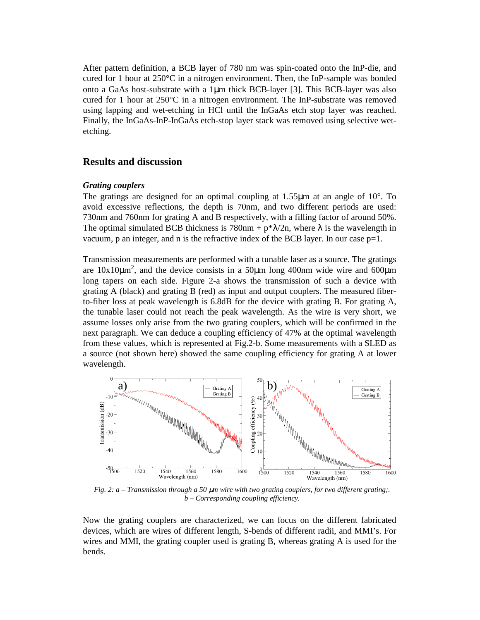After pattern definition, a BCB layer of 780 nm was spin-coated onto the InP-die, and cured for 1 hour at  $250^{\circ}$ C in a nitrogen environment. Then, the InP-sample was bonded onto a GaAs host-substrate with a  $1\mu$ m thick BCB-layer [3]. This BCB-layer was also cured for 1 hour at  $250^{\circ}$ C in a nitrogen environment. The InP-substrate was removed using lapping and wet-etching in HCl until the InGaAs etch stop layer was reached. Finally, the InGaAs-InP-InGaAs etch-stop layer stack was removed using selective wetetching.

## **Results and discussion**

#### *Grating couplers*

The gratings are designed for an optimal coupling at 1.55 $\mu$ m at an angle of 10 $^{\circ}$ . To avoid excessive reflections, the depth is 70nm, and two different periods are used: 730nm and 760nm for grating A and B respectively, with a filling factor of around 50%. The optimal simulated BCB thickness is  $780$ nm + p\* $\lambda$ /2n, where  $\lambda$  is the wavelength in vacuum, p an integer, and n is the refractive index of the BCB layer. In our case  $p=1$ .

Transmission measurements are performed with a tunable laser as a source. The gratings are  $10x10\mu m^2$ , and the device consists in a 50 $\mu$ m long 400nm wide wire and 600 $\mu$ m long tapers on each side. Figure 2-a shows the transmission of such a device with grating A (black) and grating B (red) as input and output couplers. The measured fiberto-fiber loss at peak wavelength is 6.8dB for the device with grating B. For grating A, the tunable laser could not reach the peak wavelength. As the wire is very short, we assume losses only arise from the two grating couplers, which will be confirmed in the next paragraph. We can deduce a coupling efficiency of 47% at the optimal wavelength from these values, which is represented at Fig.2-b. Some measurements with a SLED as a source (not shown here) showed the same coupling efficiency for grating A at lower wavelength.



*Fig. 2: a – Transmission through a 50 µm wire with two grating couplers, for two different grating;. b – Corresponding coupling efficiency.* 

Now the grating couplers are characterized, we can focus on the different fabricated devices, which are wires of different length, S-bends of different radii, and MMI's. For wires and MMI, the grating coupler used is grating B, whereas grating A is used for the bends.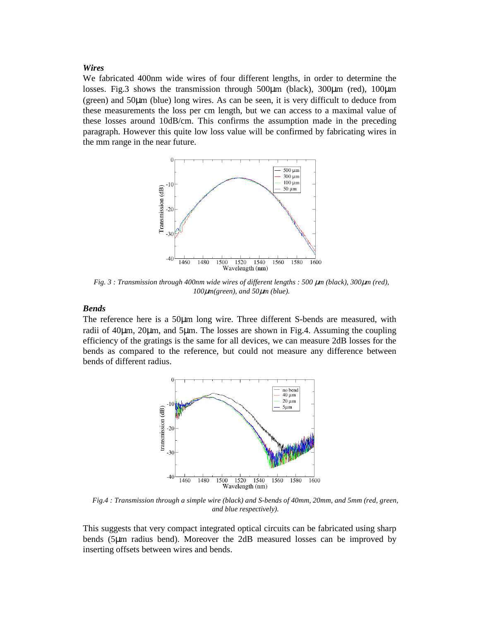#### *Wires*

We fabricated 400nm wide wires of four different lengths, in order to determine the losses. Fig.3 shows the transmission through 500µm (black), 300µm (red), 100µm (green) and 50µm (blue) long wires. As can be seen, it is very difficult to deduce from these measurements the loss per cm length, but we can access to a maximal value of these losses around 10dB/cm. This confirms the assumption made in the preceding paragraph. However this quite low loss value will be confirmed by fabricating wires in the mm range in the near future.



*Fig. 3 : Transmission through 400nm wide wires of different lengths : 500*  $\mu$ *m (black), 300* $\mu$ *m (red), 100*µ*m(green), and 50*µ*m (blue).* 

## *Bends*

The reference here is a 50µm long wire. Three different S-bends are measured, with radii of  $40\mu$ m,  $20\mu$ m, and  $5\mu$ m. The losses are shown in Fig. 4. Assuming the coupling efficiency of the gratings is the same for all devices, we can measure 2dB losses for the bends as compared to the reference, but could not measure any difference between bends of different radius.



*Fig.4 : Transmission through a simple wire (black) and S-bends of 40mm, 20mm, and 5mm (red, green, and blue respectively).* 

This suggests that very compact integrated optical circuits can be fabricated using sharp bends (5µm radius bend). Moreover the 2dB measured losses can be improved by inserting offsets between wires and bends.